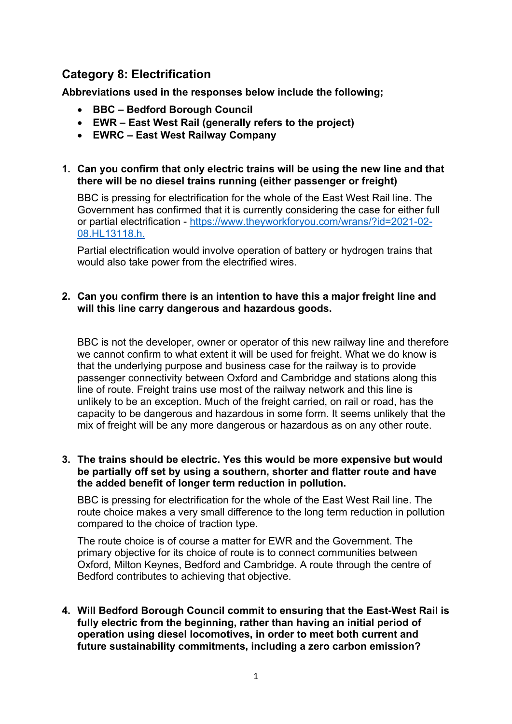# **Category 8: Electrification**

**Abbreviations used in the responses below include the following;** 

- **BBC – Bedford Borough Council**
- **EWR – East West Rail (generally refers to the project)**
- **EWRC – East West Railway Company**

# **1. Can you confirm that only electric trains will be using the new line and that there will be no diesel trains running (either passenger or freight)**

BBC is pressing for electrification for the whole of the East West Rail line. The Government has confirmed that it is currently considering the case for either full or partial electrification - [https://www.theyworkforyou.com/wrans/?id=2021-02-](https://www.theyworkforyou.com/wrans/?id=2021-02-08.HL13118.h) [08.HL13118.h.](https://www.theyworkforyou.com/wrans/?id=2021-02-08.HL13118.h)

Partial electrification would involve operation of battery or hydrogen trains that would also take power from the electrified wires.

# **2. Can you confirm there is an intention to have this a major freight line and will this line carry dangerous and hazardous goods.**

BBC is not the developer, owner or operator of this new railway line and therefore we cannot confirm to what extent it will be used for freight. What we do know is that the underlying purpose and business case for the railway is to provide passenger connectivity between Oxford and Cambridge and stations along this line of route. Freight trains use most of the railway network and this line is unlikely to be an exception. Much of the freight carried, on rail or road, has the capacity to be dangerous and hazardous in some form. It seems unlikely that the mix of freight will be any more dangerous or hazardous as on any other route.

## **3. The trains should be electric. Yes this would be more expensive but would be partially off set by using a southern, shorter and flatter route and have the added benefit of longer term reduction in pollution.**

BBC is pressing for electrification for the whole of the East West Rail line. The route choice makes a very small difference to the long term reduction in pollution compared to the choice of traction type.

The route choice is of course a matter for EWR and the Government. The primary objective for its choice of route is to connect communities between Oxford, Milton Keynes, Bedford and Cambridge. A route through the centre of Bedford contributes to achieving that objective.

**4. Will Bedford Borough Council commit to ensuring that the East-West Rail is fully electric from the beginning, rather than having an initial period of operation using diesel locomotives, in order to meet both current and future sustainability commitments, including a zero carbon emission?**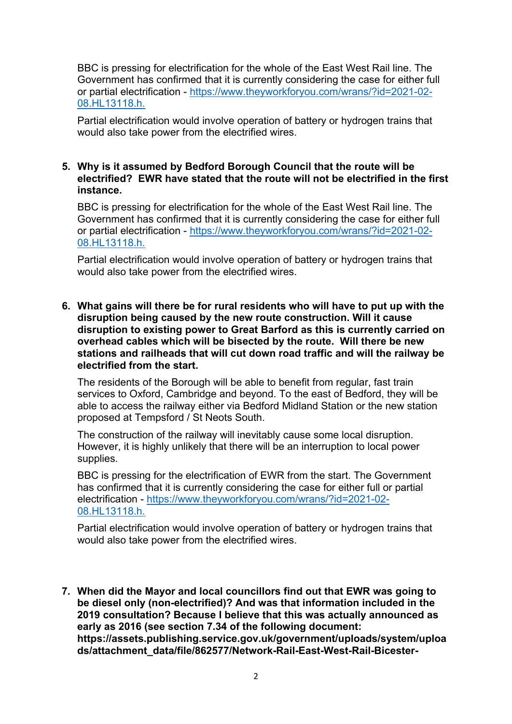BBC is pressing for electrification for the whole of the East West Rail line. The Government has confirmed that it is currently considering the case for either full or partial electrification - [https://www.theyworkforyou.com/wrans/?id=2021-02-](https://www.theyworkforyou.com/wrans/?id=2021-02-08.HL13118.h) [08.HL13118.h.](https://www.theyworkforyou.com/wrans/?id=2021-02-08.HL13118.h)

Partial electrification would involve operation of battery or hydrogen trains that would also take power from the electrified wires.

### **5. Why is it assumed by Bedford Borough Council that the route will be electrified? EWR have stated that the route will not be electrified in the first instance.**

BBC is pressing for electrification for the whole of the East West Rail line. The Government has confirmed that it is currently considering the case for either full or partial electrification - [https://www.theyworkforyou.com/wrans/?id=2021-02-](https://www.theyworkforyou.com/wrans/?id=2021-02-08.HL13118.h) [08.HL13118.h.](https://www.theyworkforyou.com/wrans/?id=2021-02-08.HL13118.h)

Partial electrification would involve operation of battery or hydrogen trains that would also take power from the electrified wires.

**6. What gains will there be for rural residents who will have to put up with the disruption being caused by the new route construction. Will it cause disruption to existing power to Great Barford as this is currently carried on overhead cables which will be bisected by the route. Will there be new stations and railheads that will cut down road traffic and will the railway be electrified from the start.**

The residents of the Borough will be able to benefit from regular, fast train services to Oxford, Cambridge and beyond. To the east of Bedford, they will be able to access the railway either via Bedford Midland Station or the new station proposed at Tempsford / St Neots South.

The construction of the railway will inevitably cause some local disruption. However, it is highly unlikely that there will be an interruption to local power supplies.

BBC is pressing for the electrification of EWR from the start. The Government has confirmed that it is currently considering the case for either full or partial electrification - [https://www.theyworkforyou.com/wrans/?id=2021-02-](https://www.theyworkforyou.com/wrans/?id=2021-02-08.HL13118.h) [08.HL13118.h.](https://www.theyworkforyou.com/wrans/?id=2021-02-08.HL13118.h)

Partial electrification would involve operation of battery or hydrogen trains that would also take power from the electrified wires.

**7. When did the Mayor and local councillors find out that EWR was going to be diesel only (non-electrified)? And was that information included in the 2019 consultation? Because I believe that this was actually announced as early as 2016 (see section 7.34 of the following document: https://assets.publishing.service.gov.uk/government/uploads/system/uploa ds/attachment\_data/file/862577/Network-Rail-East-West-Rail-Bicester-**